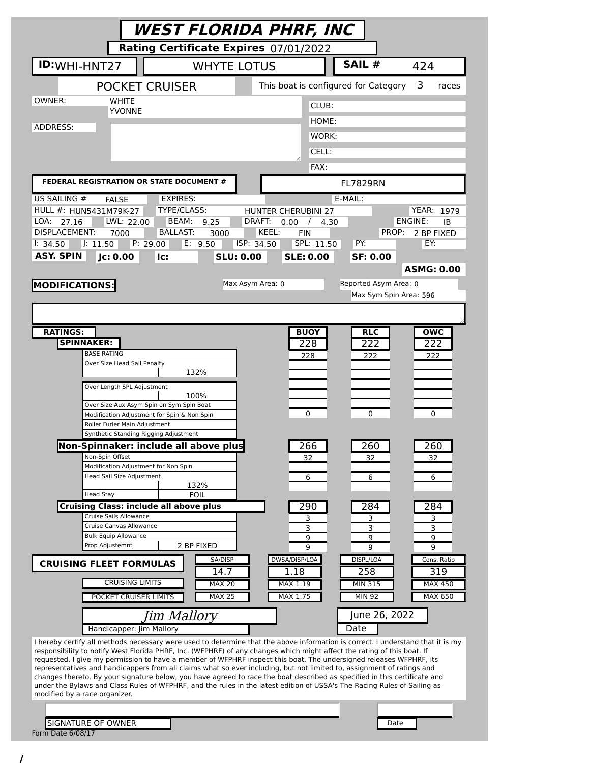| <b>WEST FLORIDA PHRF, INC</b>                                                                                           |                                                                                                                                                                                                                                                     |  |  |  |
|-------------------------------------------------------------------------------------------------------------------------|-----------------------------------------------------------------------------------------------------------------------------------------------------------------------------------------------------------------------------------------------------|--|--|--|
| Rating Certificate Expires 07/01/2022                                                                                   |                                                                                                                                                                                                                                                     |  |  |  |
| ID: WHI-HNT27                                                                                                           | SAIL #<br><b>WHYTE LOTUS</b><br>424                                                                                                                                                                                                                 |  |  |  |
| <b>POCKET CRUISER</b>                                                                                                   | This boat is configured for Category<br>3<br>races                                                                                                                                                                                                  |  |  |  |
| OWNER:<br><b>WHITE</b>                                                                                                  | CLUB:                                                                                                                                                                                                                                               |  |  |  |
| <b>YVONNE</b><br>ADDRESS:                                                                                               | HOME:                                                                                                                                                                                                                                               |  |  |  |
|                                                                                                                         | WORK:                                                                                                                                                                                                                                               |  |  |  |
|                                                                                                                         | CELL:                                                                                                                                                                                                                                               |  |  |  |
|                                                                                                                         | FAX:                                                                                                                                                                                                                                                |  |  |  |
| FEDERAL REGISTRATION OR STATE DOCUMENT #                                                                                | <b>FL7829RN</b>                                                                                                                                                                                                                                     |  |  |  |
| US SAILING #<br><b>EXPIRES:</b><br><b>FALSE</b><br><b>TYPE/CLASS:</b><br>HULL #: HUN5431M79K-27                         | E-MAIL:<br><b>YEAR: 1979</b><br><b>HUNTER CHERUBINI 27</b>                                                                                                                                                                                          |  |  |  |
| BEAM:<br>27.16<br>LWL: 22.00<br>LOA:<br>9.25                                                                            | ENGINE:<br>DRAFT:<br>0.00<br>$\sqrt{ }$<br>IB<br>4.30                                                                                                                                                                                               |  |  |  |
| <b>DISPLACEMENT:</b><br><b>BALLAST:</b><br>7000<br>3000                                                                 | KEEL:<br>PROP:<br><b>FIN</b><br>2 BP FIXED<br>PY:                                                                                                                                                                                                   |  |  |  |
| P: 29.00<br>E: 9.50<br>$ $ : 11.50<br>1: 34.50<br><b>ASY. SPIN</b><br>Jc: 0.00<br>Ic:                                   | ISP: 34.50<br>SPL: 11.50<br>EY:<br><b>SLE: 0.00</b><br><b>SLU: 0.00</b><br><b>SF: 0.00</b>                                                                                                                                                          |  |  |  |
|                                                                                                                         | <b>ASMG: 0.00</b>                                                                                                                                                                                                                                   |  |  |  |
| <b>MODIFICATIONS:</b>                                                                                                   | Reported Asym Area: 0<br>Max Asym Area: 0                                                                                                                                                                                                           |  |  |  |
|                                                                                                                         | Max Sym Spin Area: 596                                                                                                                                                                                                                              |  |  |  |
|                                                                                                                         |                                                                                                                                                                                                                                                     |  |  |  |
|                                                                                                                         |                                                                                                                                                                                                                                                     |  |  |  |
| <b>RATINGS:</b><br><b>SPINNAKER:</b>                                                                                    | <b>BUOY</b><br><b>RLC</b><br><b>OWC</b><br>222<br>222<br>228                                                                                                                                                                                        |  |  |  |
| <b>BASE RATING</b>                                                                                                      | 228<br>222<br>222                                                                                                                                                                                                                                   |  |  |  |
| Over Size Head Sail Penalty                                                                                             |                                                                                                                                                                                                                                                     |  |  |  |
| 132%<br>Over Length SPL Adjustment                                                                                      |                                                                                                                                                                                                                                                     |  |  |  |
| 100%                                                                                                                    |                                                                                                                                                                                                                                                     |  |  |  |
| Over Size Aux Asym Spin on Sym Spin Boat<br>Modification Adjustment for Spin & Non Spin                                 | 0<br>$\Omega$<br>0                                                                                                                                                                                                                                  |  |  |  |
| Roller Furler Main Adjustment                                                                                           |                                                                                                                                                                                                                                                     |  |  |  |
| Synthetic Standing Rigging Adjustment                                                                                   |                                                                                                                                                                                                                                                     |  |  |  |
| Non-Spinnaker: include all above plus<br>Non-Spin Offset                                                                | 266<br>260<br>260<br>32<br>32<br>32                                                                                                                                                                                                                 |  |  |  |
| Modification Adjustment for Non Spin                                                                                    |                                                                                                                                                                                                                                                     |  |  |  |
| Head Sail Size Adjustment<br>132%                                                                                       | 6<br>6<br>6                                                                                                                                                                                                                                         |  |  |  |
| <b>FOIL</b><br><b>Head Stay</b>                                                                                         |                                                                                                                                                                                                                                                     |  |  |  |
| <b>Cruising Class: include all above plus</b><br>Cruise Sails Allowance                                                 | 290<br>284<br>284                                                                                                                                                                                                                                   |  |  |  |
| Cruise Canvas Allowance                                                                                                 | 3<br>3<br>3<br>3<br>3<br>3                                                                                                                                                                                                                          |  |  |  |
| <b>Bulk Equip Allowance</b><br>Prop Adjustemnt                                                                          | 9<br>9<br>9                                                                                                                                                                                                                                         |  |  |  |
| 2 BP FIXED<br>SA/DISP                                                                                                   | 9<br>9<br>9<br>DWSA/DISP/LOA<br>DISPL/LOA<br>Cons. Ratio                                                                                                                                                                                            |  |  |  |
| <b>CRUISING FLEET FORMULAS</b><br>14.7                                                                                  | 1.18<br>258<br>319                                                                                                                                                                                                                                  |  |  |  |
| <b>CRUISING LIMITS</b><br><b>MAX 20</b>                                                                                 | MAX 1.19<br><b>MIN 315</b><br><b>MAX 450</b>                                                                                                                                                                                                        |  |  |  |
| <b>MAX 25</b><br>POCKET CRUISER LIMITS                                                                                  | MAX 1.75<br><b>MIN 92</b><br><b>MAX 650</b>                                                                                                                                                                                                         |  |  |  |
| Jim Mallory                                                                                                             | June 26, 2022                                                                                                                                                                                                                                       |  |  |  |
| Handicapper: Jim Mallory                                                                                                | Date                                                                                                                                                                                                                                                |  |  |  |
|                                                                                                                         | I hereby certify all methods necessary were used to determine that the above information is correct. I understand that it is my                                                                                                                     |  |  |  |
| responsibility to notify West Florida PHRF, Inc. (WFPHRF) of any changes which might affect the rating of this boat. If | requested, I give my permission to have a member of WFPHRF inspect this boat. The undersigned releases WFPHRF, its                                                                                                                                  |  |  |  |
|                                                                                                                         | representatives and handicappers from all claims what so ever including, but not limited to, assignment of ratings and<br>changes thereto. By your signature below, you have agreed to race the boat described as specified in this certificate and |  |  |  |
|                                                                                                                         | under the Bylaws and Class Rules of WFPHRF, and the rules in the latest edition of USSA's The Racing Rules of Sailing as                                                                                                                            |  |  |  |
| modified by a race organizer.                                                                                           |                                                                                                                                                                                                                                                     |  |  |  |
|                                                                                                                         |                                                                                                                                                                                                                                                     |  |  |  |
| <b>SIGNATURE OF OWNER</b><br>Form Date 6/08/17                                                                          | Date                                                                                                                                                                                                                                                |  |  |  |

/